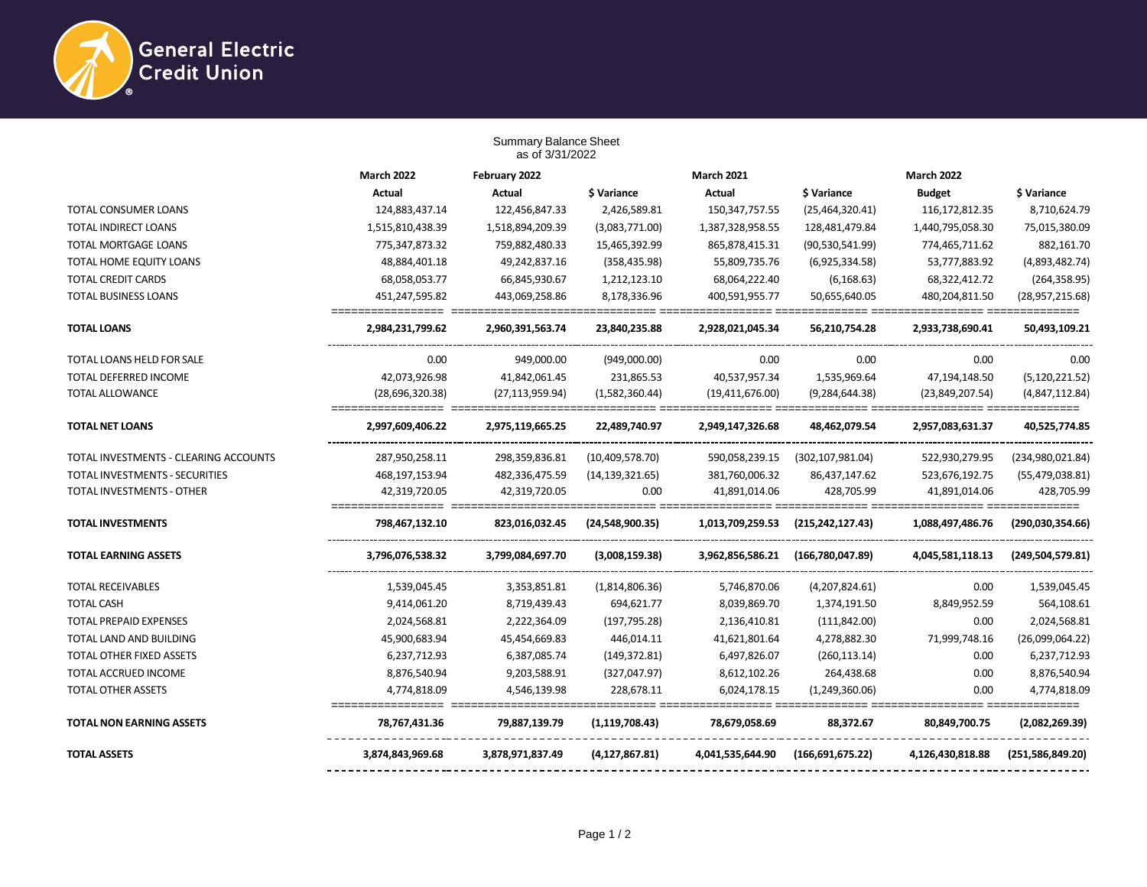

|                                       |                   | <b>Summary Balance Sheet</b><br>as of 3/31/2022 |                   |                   |                    |                   |                    |
|---------------------------------------|-------------------|-------------------------------------------------|-------------------|-------------------|--------------------|-------------------|--------------------|
|                                       | <b>March 2022</b> | February 2022                                   |                   | <b>March 2021</b> |                    | <b>March 2022</b> |                    |
|                                       | <b>Actual</b>     | <b>Actual</b>                                   | \$ Variance       | <b>Actual</b>     | \$ Variance        | <b>Budget</b>     | \$ Variance        |
| TOTAL CONSUMER LOANS                  | 124,883,437.14    | 122,456,847.33                                  | 2,426,589.81      | 150,347,757.55    | (25,464,320.41)    | 116, 172, 812. 35 | 8,710,624.79       |
| <b>TOTAL INDIRECT LOANS</b>           | 1,515,810,438.39  | 1,518,894,209.39                                | (3,083,771.00)    | 1,387,328,958.55  | 128,481,479.84     | 1,440,795,058.30  | 75,015,380.09      |
| TOTAL MORTGAGE LOANS                  | 775,347,873.32    | 759,882,480.33                                  | 15,465,392.99     | 865,878,415.31    | (90,530,541.99)    | 774,465,711.62    | 882,161.70         |
| TOTAL HOME EQUITY LOANS               | 48,884,401.18     | 49,242,837.16                                   | (358, 435.98)     | 55,809,735.76     | (6,925,334.58)     | 53,777,883.92     | (4,893,482.74)     |
| <b>TOTAL CREDIT CARDS</b>             | 68,058,053.77     | 66,845,930.67                                   | 1,212,123.10      | 68,064,222.40     | (6, 168.63)        | 68,322,412.72     | (264, 358.95)      |
| <b>TOTAL BUSINESS LOANS</b>           | 451,247,595.82    | 443,069,258.86                                  | 8,178,336.96      | 400,591,955.77    | 50,655,640.05      | 480,204,811.50    | (28,957,215.68)    |
| <b>TOTAL LOANS</b>                    | 2,984,231,799.62  | 2,960,391,563.74                                | 23,840,235.88     | 2,928,021,045.34  | 56,210,754.28      | 2,933,738,690.41  | 50,493,109.21      |
| TOTAL LOANS HELD FOR SALE             | 0.00              | 949,000.00                                      | (949,000.00)      | 0.00              | 0.00               | 0.00              | 0.00               |
| <b>TOTAL DEFERRED INCOME</b>          | 42,073,926.98     | 41,842,061.45                                   | 231,865.53        | 40,537,957.34     | 1,535,969.64       | 47,194,148.50     | (5, 120, 221.52)   |
| <b>TOTAL ALLOWANCE</b>                | (28,696,320.38)   | (27, 113, 959.94)                               | (1,582,360.44)    | (19,411,676.00)   | (9, 284, 644.38)   | (23,849,207.54)   | (4,847,112.84)     |
| <b>TOTAL NET LOANS</b>                | 2,997,609,406.22  | 2,975,119,665.25                                | 22,489,740.97     | 2,949,147,326.68  | 48,462,079.54      | 2,957,083,631.37  | 40,525,774.85      |
| TOTAL INVESTMENTS - CLEARING ACCOUNTS | 287,950,258.11    | 298,359,836.81                                  | (10, 409, 578.70) | 590,058,239.15    | (302, 107, 981.04) | 522,930,279.95    | (234,980,021.84)   |
| TOTAL INVESTMENTS - SECURITIES        | 468,197,153.94    | 482,336,475.59                                  | (14, 139, 321.65) | 381,760,006.32    | 86,437,147.62      | 523,676,192.75    | (55, 479, 038.81)  |
| TOTAL INVESTMENTS - OTHER             | 42,319,720.05     | 42,319,720.05                                   | 0.00              | 41,891,014.06     | 428,705.99         | 41,891,014.06     | 428,705.99         |
| <b>TOTAL INVESTMENTS</b>              | 798,467,132.10    | 823,016,032.45                                  | (24,548,900.35)   | 1,013,709,259.53  | (215, 242, 127.43) | 1,088,497,486.76  | (290,030,354.66)   |
| <b>TOTAL EARNING ASSETS</b>           | 3,796,076,538.32  | 3,799,084,697.70                                | (3,008,159.38)    | 3,962,856,586.21  | (166,780,047.89)   | 4,045,581,118.13  | (249, 504, 579.81) |
| <b>TOTAL RECEIVABLES</b>              | 1,539,045.45      | 3,353,851.81                                    | (1,814,806.36)    | 5,746,870.06      | (4,207,824.61)     | 0.00              | 1,539,045.45       |
| <b>TOTAL CASH</b>                     | 9,414,061.20      | 8,719,439.43                                    | 694,621.77        | 8,039,869.70      | 1,374,191.50       | 8,849,952.59      | 564,108.61         |
| <b>TOTAL PREPAID EXPENSES</b>         | 2,024,568.81      | 2,222,364.09                                    | (197, 795.28)     | 2,136,410.81      | (111, 842.00)      | 0.00              | 2,024,568.81       |
| TOTAL LAND AND BUILDING               | 45,900,683.94     | 45,454,669.83                                   | 446,014.11        | 41,621,801.64     | 4,278,882.30       | 71,999,748.16     | (26,099,064.22)    |
| <b>TOTAL OTHER FIXED ASSETS</b>       | 6,237,712.93      | 6,387,085.74                                    | (149, 372.81)     | 6,497,826.07      | (260, 113.14)      | 0.00              | 6,237,712.93       |
| TOTAL ACCRUED INCOME                  | 8,876,540.94      | 9,203,588.91                                    | (327,047.97)      | 8,612,102.26      | 264,438.68         | 0.00              | 8,876,540.94       |
| <b>TOTAL OTHER ASSETS</b>             | 4,774,818.09      | 4,546,139.98                                    | 228,678.11        | 6,024,178.15      | (1,249,360.06)     | 0.00              | 4,774,818.09       |
| <b>TOTAL NON EARNING ASSETS</b>       | 78,767,431.36     | 79,887,139.79                                   | (1, 119, 708.43)  | 78,679,058.69     | 88,372.67          | 80,849,700.75     | (2,082,269.39)     |
| <b>TOTAL ASSETS</b>                   | 3,874,843,969.68  | 3,878,971,837.49                                | (4, 127, 867.81)  | 4,041,535,644.90  | (166, 691, 675.22) | 4,126,430,818.88  | (251, 586, 849.20) |